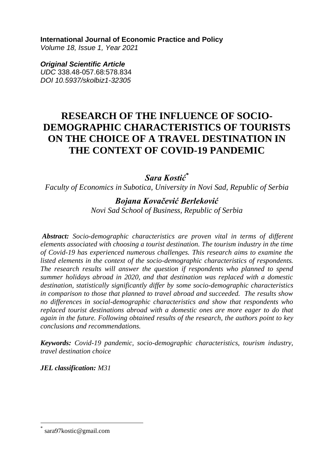**International Journal of Economic Practice and Policy** 

*Volume 18, Issue 1, Year 2021* 

*Original Scientific Article UDC* 338.48-057.68:578.834 *DOI 10.5937/skolbiz1-32305*

# **RESEARCH OF THE INFLUENCE OF SOCIO-DEMOGRAPHIC CHARACTERISTICS OF TOURISTS ON THE CHOICE OF A TRAVEL DESTINATION IN THE CONTEXT OF COVID-19 PANDEMIC**

*Sara Kostić\**

*Faculty of Economics in Subotica, University in Novi Sad, Republic of Serbia*

### *Bojana Kovačević Berleković*

*Novi Sad School of Business, Republic of Serbia*

*Abstract: Socio-demographic characteristics are proven vital in terms of different elements associated with choosing a tourist destination. The tourism industry in the time of Covid-19 has experienced numerous challenges. This research aims to examine the listed elements in the context of the socio-demographic characteristics of respondents. The research results will answer the question if respondents who planned to spend summer holidays abroad in 2020, and that destination was replaced with a domestic destination, statistically significantly differ by some socio-demographic characteristics in comparison to those that planned to travel abroad and succeeded. The results show no differences in social-demographic characteristics and show that respondents who replaced tourist destinations abroad with a domestic ones are more eager to do that again in the future. Following obtained results of the research, the authors point to key conclusions and recommendations.*

*Keywords: Covid-19 pandemic, socio-demographic characteristics, tourism industry, travel destination choice*

*JEL classification: M31*

 $\overline{a}$ 

<sup>\*</sup> sara97kostic@gmail.com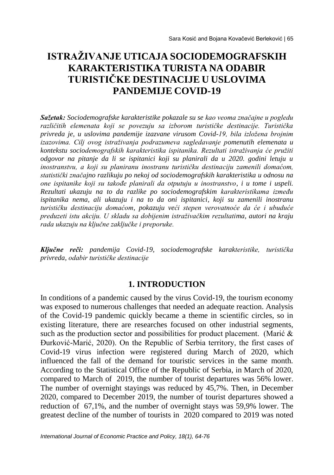# **ISTRAŽIVANJE UTICAJA SOCIODEMOGRAFSKIH KARAKTERISTIKA TURISTA NA ODABIR TURISTIČKE DESTINACIJE U USLOVIMA PANDEMIJE COVID-19**

*Sažetak: Sociodemografske karakteristike pokazale su se kao veoma značajne u pogledu različitih elemenata koji se povezuju sa izborom turističke destinacije. Turistička privreda je, u uslovima pandemije izazvane virusom Covid-19, bila izložena brojnim izazovima. Cilj ovog istraživanja podrazumeva sagledavanje pomenutih elemenata u kontekstu sociodemografskih karakteristika ispitanika. Rezultati istraživanja će pružiti odgovor na pitanje da li se ispitanici koji su planirali da u 2020. godini letuju u inostranstvu, a koji su planiranu inostranu turističku destinaciju zamenili domaćom, statistički značajno razlikuju po nekoj od sociodemografskih karakteristika u odnosu na one ispitanike koji su takođe planirali da otputuju u inostranstvo, i u tome i uspeli. Rezultati ukazuju na to da razlike po sociodemografskim karakteristikama između ispitanika nema, ali ukazuju i na to da oni ispitanici, koji su zamenili inostranu turističku destinaciju domaćom, pokazuju veći stepen verovatnoće da će i ubuduće preduzeti istu akciju. U skladu sa dobijenim istraživačkim rezultatima, autori na kraju rada ukazuju na ključne zaključke i preporuke.*

*Ključne reči: pandemija Covid-19, sociodemografske karakteristike, turistička privreda, odabir turističke destinacije*

#### **1. INTRODUCTION**

In conditions of a pandemic caused by the virus Covid-19, the tourism economy was exposed to numerous challenges that needed an adequate reaction. Analysis of the Covid-19 pandemic quickly became a theme in scientific circles, so in existing literature, there are researches focused on other industrial segments, such as the production sector and possibilities for product placement. (Marić  $\&$ Đurković-Marić, 2020). On the Republic of Serbia territory, the first cases of Covid-19 virus infection were registered during March of 2020, which influenced the fall of the demand for touristic services in the same month. According to the Statistical Office of the Republic of Serbia, in March of 2020, compared to March of 2019, the number of tourist departures was 56% lower. The number of overnight stayings was reduced by 45,7%. Then, in December 2020, compared to December 2019, the number of tourist departures showed a reduction of 67,1%, and the number of overnight stays was 59,9% lower. The greatest decline of the number of tourists in 2020 compared to 2019 was noted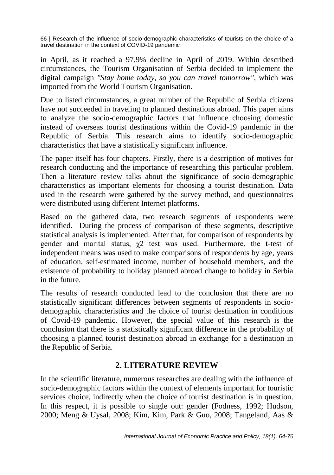in April, as it reached a 97,9% decline in April of 2019. Within described circumstances, the Tourism Organisation of Serbia decided to implement the digital campaign *"Stay home today, so you can travel tomorrow"*, which was imported from the World Tourism Organisation.

Due to listed circumstances, a great number of the Republic of Serbia citizens have not succeeded in traveling to planned destinations abroad. This paper aims to analyze the socio-demographic factors that influence choosing domestic instead of overseas tourist destinations within the Covid-19 pandemic in the Republic of Serbia. This research aims to identify socio-demographic characteristics that have a statistically significant influence.

The paper itself has four chapters. Firstly, there is a description of motives for research conducting and the importance of researching this particular problem. Then a literature review talks about the significance of socio-demographic characteristics as important elements for choosing a tourist destination. Data used in the research were gathered by the survey method, and questionnaires were distributed using different Internet platforms.

Based on the gathered data, two research segments of respondents were identified. During the process of comparison of these segments, descriptive statistical analysis is implemented. After that, for comparison of respondents by gender and marital status,  $\chi$ 2 test was used. Furthermore, the t-test of independent means was used to make comparisons of respondents by age, years of education, self-estimated income, number of household members, and the existence of probability to holiday planned abroad change to holiday in Serbia in the future.

The results of research conducted lead to the conclusion that there are no statistically significant differences between segments of respondents in sociodemographic characteristics and the choice of tourist destination in conditions of Covid-19 pandemic. However, the special value of this research is the conclusion that there is a statistically significant difference in the probability of choosing a planned tourist destination abroad in exchange for a destination in the Republic of Serbia.

### **2. LITERATURE REVIEW**

In the scientific literature, numerous researches are dealing with the influence of socio-demographic factors within the context of elements important for touristic services choice, indirectly when the choice of tourist destination is in question. In this respect, it is possible to single out: gender (Fodness, 1992; Hudson, 2000; Meng & Uysal, 2008; Kim, Kim, Park & Guo, 2008; Tangeland, Aas &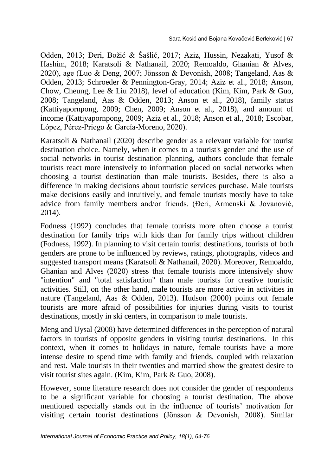Odden, 2013; Đeri, Božić & Šašlić, 2017; Aziz, Hussin, Nezakati, Yusof & Hashim, 2018; Karatsoli & Nathanail, 2020; Remoaldo, Ghanian & Alves, 2020), age (Luo & Deng, 2007; Jönsson & Devonish, 2008; Tangeland, Aas & Odden, 2013; Schroeder & Pennington-Gray, 2014; Aziz et al., 2018; Anson, Chow, Cheung, Lee & Liu 2018), level of education (Kim, Kim, Park & Guo, 2008; Tangeland, Aas & Odden, 2013; Anson et al., 2018), family status (Kattiyapornpong, 2009; Chen, 2009; Anson et al., 2018), and amount of income (Kattiyapornpong, 2009; Aziz et al., 2018; Anson et al., 2018; Escobar, López, Pérez-Priego & García-Moreno, 2020).

Karatsoli & Nathanail (2020) describe gender as a relevant variable for tourist destination choice. Namely, when it comes to a tourist's gender and the use of social networks in tourist destination planning, authors conclude that female tourists react more intensively to information placed on social networks when choosing a tourist destination than male tourists. Besides, there is also a difference in making decisions about touristic services purchase. Male tourists make decisions easily and intuitively, and female tourists mostly have to take advice from family members and/or friends. (Đeri, Armenski & Jovanović, 2014).

Fodness (1992) concludes that female tourists more often choose a tourist destination for family trips with kids than for family trips without children (Fodness, 1992). In planning to visit certain tourist destinations, tourists of both genders are prone to be influenced by reviews, ratings, photographs, videos and suggested transport means (Karatsoli & Nathanail, 2020). Moreover, Remoaldo, Ghanian and Alves (2020) stress that female tourists more intensively show "intention" and "total satisfaction" than male tourists for creative touristic activities. Still, on the other hand, male tourists are more active in activities in nature (Tangeland, Aas & Odden, 2013). Hudson (2000) points out female tourists are more afraid of possibilities for injuries during visits to tourist destinations, mostly in ski centers, in comparison to male tourists.

Meng and Uysal (2008) have determined differences in the perception of natural factors in tourists of opposite genders in visiting tourist destinations. In this context, when it comes to holidays in nature, female tourists have a more intense desire to spend time with family and friends, coupled with relaxation and rest. Male tourists in their twenties and married show the greatest desire to visit tourist sites again. (Kim, Kim, Park & Guo, 2008).

However, some literature research does not consider the gender of respondents to be a significant variable for choosing a tourist destination. The above mentioned especially stands out in the influence of tourists' motivation for visiting certain tourist destinations (Jönsson & Devonish, 2008). Similar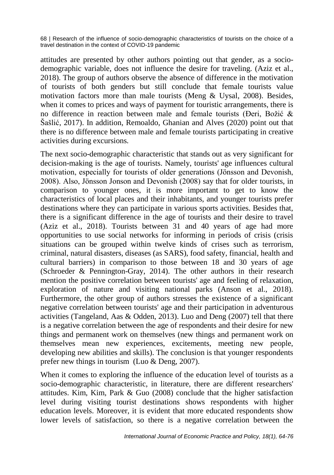attitudes are presented by other authors pointing out that gender, as a sociodemographic variable, does not influence the desire for traveling. (Aziz et al., 2018). The group of authors observe the absence of difference in the motivation of tourists of both genders but still conclude that female tourists value motivation factors more than male tourists (Meng & Uysal, 2008). Besides, when it comes to prices and ways of payment for touristic arrangements, there is no difference in reaction between male and female tourists (Đeri, Božić & Šašlić, 2017). In addition, Remoaldo, Ghanian and Alves (2020) point out that there is no difference between male and female tourists participating in creative activities during excursions.

The next socio-demographic characteristic that stands out as very significant for decision-making is the age of tourists. Namely, tourists' age influences cultural motivation, especially for tourists of older generations (Jönsson and Devonish, 2008). Also, Jönsson Jonson and Devonish (2008) say that for older tourists, in comparison to younger ones, it is more important to get to know the characteristics of local places and their inhabitants, and younger tourists prefer destinations where they can participate in various sports activities. Besides that, there is a significant difference in the age of tourists and their desire to travel (Aziz et al., 2018). Tourists between 31 and 40 years of age had more opportunities to use social networks for informing in periods of crisis (crisis situations can be grouped within twelve kinds of crises such as terrorism, criminal, natural disasters, diseases (as SARS), food safety, financial, health and cultural barriers) in comparison to those between 18 and 30 years of age (Schroeder & Pennington-Gray, 2014). The other authors in their research mention the positive correlation between tourists' age and feeling of relaxation, exploration of nature and visiting national parks (Anson et al., 2018). Furthermore, the other group of authors stresses the existence of a significant negative correlation between tourists' age and their participation in adventurous activities (Tangeland, Aas & Odden, 2013). Luo and Deng (2007) tell that there is a negative correlation between the age of respondents and their desire for new things and permanent work on themselves (new things and permanent work on themselves mean new experiences, excitements, meeting new people, developing new abilities and skills). The conclusion is that younger respondents prefer new things in tourism (Luo & Deng, 2007).

When it comes to exploring the influence of the education level of tourists as a socio-demographic characteristic, in literature, there are different researchers' attitudes. Kim, Kim, Park & Guo (2008) conclude that the higher satisfaction level during visiting tourist destinations shows respondents with higher education levels. Moreover, it is evident that more educated respondents show lower levels of satisfaction, so there is a negative correlation between the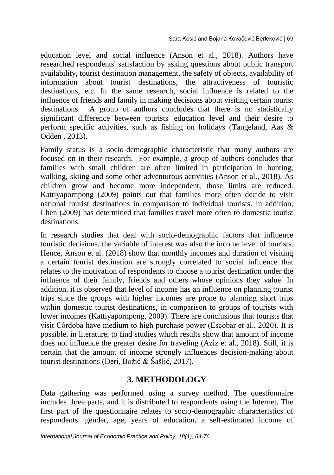education level and social influence (Anson et al., 2018). Authors have researched respondents' satisfaction by asking questions about public transport availability, tourist destination management, the safety of objects, availability of information about tourist destinations, the attractiveness of touristic destinations, etc. In the same research, social influence is related to the influence of friends and family in making decisions about visiting certain tourist destinations. A group of authors concludes that there is no statistically significant difference between tourists' education level and their desire to perform specific activities, such as fishing on holidays (Tangeland, Aas & Odden , 2013).

Family status is a socio-demographic characteristic that many authors are focused on in their research. For example, a group of authors concludes that families with small children are often limited in participation in hunting, walking, skiing and some other adventurous activities (Anson et al., 2018). As children grow and become more independent, those limits are reduced. Kattiyapornpong (2009) points out that families more often decide to visit national tourist destinations in comparison to individual tourists. In addition, Chen (2009) has determined that families travel more often to domestic tourist destinations.

In research studies that deal with socio-demographic factors that influence touristic decisions, the variable of interest was also the income level of tourists. Hence, Anson et al. (2018) show that monthly incomes and duration of visiting a certain tourist destination are strongly correlated to social influence that relates to the motivation of respondents to choose a tourist destination under the influence of their family, friends and others whose opinions they value. In addition, it is observed that level of income has an influence on planning tourist trips since the groups with higher incomes are prone to planning short trips within domestic tourist destinations, in comparison to groups of tourists with lower incomes (Kattiyapornpong, 2009). There are conclusions that tourists that visit Córdoba have medium to high purchase power (Escobar et al., 2020). It is possible, in literature, to find studies which results show that amount of income does not influence the greater desire for traveling (Aziz et al., 2018). Still, it is certain that the amount of income strongly influences decision-making about tourist destinations (Đeri, Božić & Šašlić, 2017).

#### **3. METHODOLOGY**

Data gathering was performed using a survey method. The questionnaire includes three parts, and it is distributed to respondents using the Internet. The first part of the questionnaire relates to socio-demographic characteristics of respondents: gender, age, years of education, a self-estimated income of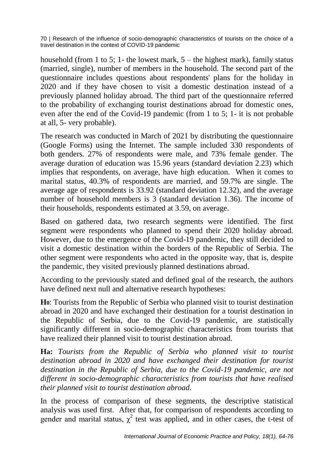household (from 1 to 5; 1- the lowest mark,  $5 -$  the highest mark), family status (married, single), number of members in the household. The second part of the questionnaire includes questions about respondents' plans for the holiday in 2020 and if they have chosen to visit a domestic destination instead of a previously planned holiday abroad. The third part of the questionnaire referred to the probability of exchanging tourist destinations abroad for domestic ones, even after the end of the Covid-19 pandemic (from 1 to 5; 1- it is not probable at all, 5- very probable).

The research was conducted in March of 2021 by distributing the questionnaire (Google Forms) using the Internet. The sample included 330 respondents of both genders. 27% of respondents were male, and 73% female gender. The average duration of education was 15.96 years (standard deviation 2.23) which implies that respondents, on average, have high education. When it comes to marital status, 40.3% of respondents are married, and 59.7% are single. The average age of respondents is 33.92 (standard deviation 12.32), and the average number of household members is 3 (standard deviation 1.36). The income of their households, respondents estimated at 3.59, on average.

Based on gathered data, two research segments were identified. The first segment were respondents who planned to spend their 2020 holiday abroad. However, due to the emergence of the Covid-19 pandemic, they still decided to visit a domestic destination within the borders of the Republic of Serbia. The other segment were respondents who acted in the opposite way, that is, despite the pandemic, they visited previously planned destinations abroad.

According to the previously stated and defined goal of the research, the authors have defined next null and alternative research hypotheses:

**H0**: Tourists from the Republic of Serbia who planned visit to tourist destination abroad in 2020 and have exchanged their destination for a tourist destination in the Republic of Serbia, due to the Covid-19 pandemic, are statistically significantly different in socio-demographic characteristics from tourists that have realized their planned visit to tourist destination abroad.

**Ha:** *Tourists from the Republic of Serbia who planned visit to tourist destination abroad in 2020 and have exchanged their destination for tourist destination in the Republic of Serbia, due to the Covid-19 pandemic, are not different in socio-demographic characteristics from tourists that have realised their planned visit to tourist destination abroad.*

In the process of comparison of these segments, the descriptive statistical analysis was used first. After that, for comparison of respondents according to gender and marital status,  $\chi^2$  test was applied, and in other cases, the t-test of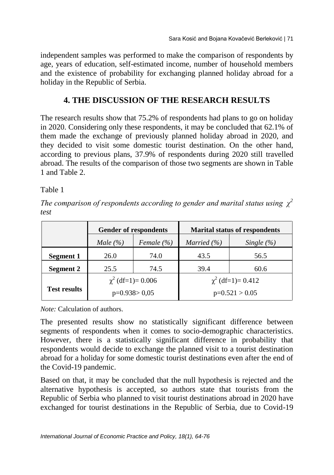independent samples was performed to make the comparison of respondents by age, years of education, self-estimated income, number of household members and the existence of probability for exchanging planned holiday abroad for a holiday in the Republic of Serbia.

## **4. THE DISCUSSION OF THE RESEARCH RESULTS**

The research results show that 75.2% of respondents had plans to go on holiday in 2020. Considering only these respondents, it may be concluded that 62.1% of them made the exchange of previously planned holiday abroad in 2020, and they decided to visit some domestic tourist destination. On the other hand, according to previous plans, 37.9% of respondents during 2020 still travelled abroad. The results of the comparison of those two segments are shown in Table 1 and Table 2.

Table 1

*The comparison of respondents according to gender and marital status using χ<sup>2</sup> test*

|                     | <b>Gender of respondents</b> |                | <b>Marital status of respondents</b> |                |  |
|---------------------|------------------------------|----------------|--------------------------------------|----------------|--|
|                     | Male $(\% )$                 | Female $(\% )$ | Married $(\% )$                      | Single $(\% )$ |  |
| Segment 1           | 26.0                         | 74.0           | 43.5                                 | 56.5           |  |
| <b>Segment 2</b>    | 25.5                         | 74.5           | 39.4                                 | 60.6           |  |
|                     | $\chi^2$ (df=1)= 0.006       |                | $\chi^2$ (df=1)= 0.412               |                |  |
| <b>Test results</b> | $p=0.938>0.05$               |                | $p=0.521 > 0.05$                     |                |  |

*Note:* Calculation of authors.

The presented results show no statistically significant difference between segments of respondents when it comes to socio-demographic characteristics. However, there is a statistically significant difference in probability that respondents would decide to exchange the planned visit to a tourist destination abroad for a holiday for some domestic tourist destinations even after the end of the Covid-19 pandemic.

Based on that, it may be concluded that the null hypothesis is rejected and the alternative hypothesis is accepted, so authors state that tourists from the Republic of Serbia who planned to visit tourist destinations abroad in 2020 have exchanged for tourist destinations in the Republic of Serbia, due to Covid-19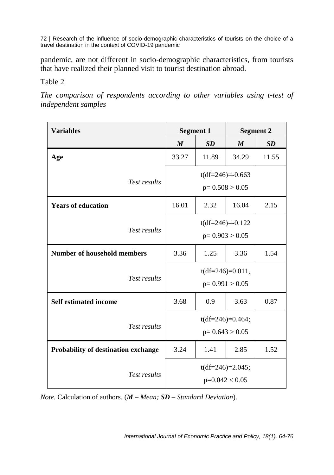pandemic, are not different in socio-demographic characteristics, from tourists that have realized their planned visit to tourist destination abroad.

Table 2

*The comparison of respondents according to other variables using t-test of independent samples*

| <b>Variables</b>                           | <b>Segment 1</b>                       |           | <b>Segment 2</b> |           |
|--------------------------------------------|----------------------------------------|-----------|------------------|-----------|
|                                            | $\boldsymbol{M}$                       | <b>SD</b> | M                | <b>SD</b> |
| Age                                        | 33.27                                  | 11.89     | 34.29            | 11.55     |
| Test results                               | $t(df=246)=-0.663$<br>$p=0.508 > 0.05$ |           |                  |           |
| <b>Years of education</b>                  | 16.01                                  | 2.32      | 16.04            | 2.15      |
| Test results                               | $t(df=246)=-0.122$<br>$p=0.903 > 0.05$ |           |                  |           |
| <b>Number of household members</b>         | 3.36                                   | 1.25      | 3.36             | 1.54      |
| Test results                               | $t(df=246)=0.011,$<br>$p=0.991 > 0.05$ |           |                  |           |
| <b>Self estimated income</b>               | 3.68                                   | 0.9       | 3.63             | 0.87      |
| Test results                               | $t(df=246)=0.464;$<br>$p=0.643 > 0.05$ |           |                  |           |
| <b>Probability of destination exchange</b> | 3.24                                   | 1.41      | 2.85             | 1.52      |
| Test results                               | $t(df=246)=2.045;$<br>$p=0.042 < 0.05$ |           |                  |           |

*Note.* Calculation of authors. (*M – Mean; SD – Standard Deviation*).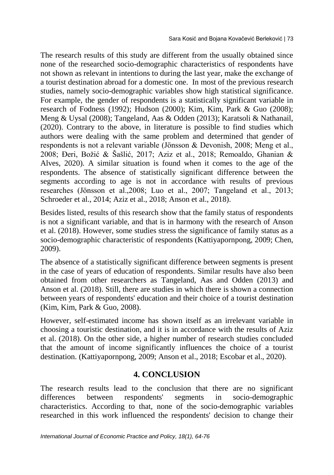The research results of this study are different from the usually obtained since none of the researched socio-demographic characteristics of respondents have not shown as relevant in intentions to during the last year, make the exchange of a tourist destination abroad for a domestic one. In most of the previous research studies, namely socio-demographic variables show high statistical significance. For example, the gender of respondents is a statistically significant variable in research of Fodness (1992); Hudson (2000); Kim, Kim, Park & Guo (2008); Meng & Uysal (2008); Tangeland, Aas & Odden (2013); Karatsoli & Nathanail, (2020). Contrary to the above, in literature is possible to find studies which authors were dealing with the same problem and determined that gender of respondents is not a relevant variable (Jönsson & Devonish, 2008; Meng et al., 2008; Đeri, Božić & Šašlić, 2017; Aziz et al., 2018; Remoaldo, Ghanian & Alves, 2020). A similar situation is found when it comes to the age of the respondents. The absence of statistically significant difference between the segments according to age is not in accordance with results of previous researches (Jönsson et al.,2008; Luo et al., 2007; Tangeland et al., 2013; Schroeder et al., 2014; Aziz et al., 2018; Anson et al., 2018).

Besides listed, results of this research show that the family status of respondents is not a significant variable, and that is in harmony with the research of Anson et al. (2018). However, some studies stress the significance of family status as a socio-demographic characteristic of respondents (Kattiyapornpong, 2009; Chen, 2009).

The absence of a statistically significant difference between segments is present in the case of years of education of respondents. Similar results have also been obtained from other researchers as Tangeland, Aas and Odden (2013) and Anson et al. (2018). Still, there are studies in which there is shown a connection between years of respondents' education and their choice of a tourist destination (Kim, Kim, Park & Guo, 2008).

However, self-estimated income has shown itself as an irrelevant variable in choosing a touristic destination, and it is in accordance with the results of Aziz et al. (2018). On the other side, a higher number of research studies concluded that the amount of income significantly influences the choice of a tourist destination. (Kattiyapornpong, 2009; Anson et al., 2018; Escobar et al., 2020).

## **4. CONCLUSION**

The research results lead to the conclusion that there are no significant differences between respondents' segments in socio-demographic characteristics. According to that, none of the socio-demographic variables researched in this work influenced the respondents' decision to change their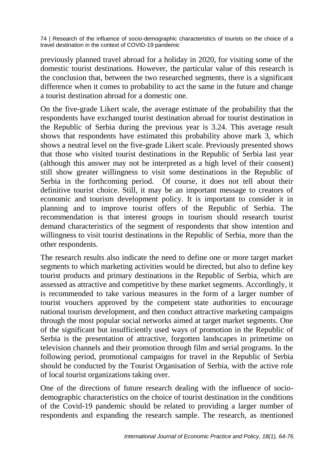previously planned travel abroad for a holiday in 2020, for visiting some of the domestic tourist destinations. However, the particular value of this research is the conclusion that, between the two researched segments, there is a significant difference when it comes to probability to act the same in the future and change a tourist destination abroad for a domestic one.

On the five-grade Likert scale, the average estimate of the probability that the respondents have exchanged tourist destination abroad for tourist destination in the Republic of Serbia during the previous year is 3.24. This average result shows that respondents have estimated this probability above mark 3, which shows a neutral level on the five-grade Likert scale. Previously presented shows that those who visited tourist destinations in the Republic of Serbia last year (although this answer may not be interpreted as a high level of their consent) still show greater willingness to visit some destinations in the Republic of Serbia in the forthcoming period. Of course, it does not tell about their definitive tourist choice. Still, it may be an important message to creators of economic and tourism development policy. It is important to consider it in planning and to improve tourist offers of the Republic of Serbia. The recommendation is that interest groups in tourism should research tourist demand characteristics of the segment of respondents that show intention and willingness to visit tourist destinations in the Republic of Serbia, more than the other respondents.

The research results also indicate the need to define one or more target market segments to which marketing activities would be directed, but also to define key tourist products and primary destinations in the Republic of Serbia, which are assessed as attractive and competitive by these market segments. Accordingly, it is recommended to take various measures in the form of a larger number of tourist vouchers approved by the competent state authorities to encourage national tourism development, and then conduct attractive marketing campaigns through the most popular social networks aimed at target market segments. One of the significant but insufficiently used ways of promotion in the Republic of Serbia is the presentation of attractive, forgotten landscapes in primetime on television channels and their promotion through film and serial programs. In the following period, promotional campaigns for travel in the Republic of Serbia should be conducted by the Tourist Organisation of Serbia, with the active role of local tourist organizations taking over.

One of the directions of future research dealing with the influence of sociodemographic characteristics on the choice of tourist destination in the conditions of the Covid-19 pandemic should be related to providing a larger number of respondents and expanding the research sample. The research, as mentioned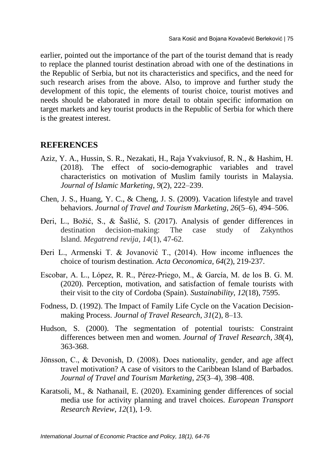earlier, pointed out the importance of the part of the tourist demand that is ready to replace the planned tourist destination abroad with one of the destinations in the Republic of Serbia, but not its characteristics and specifics, and the need for such research arises from the above. Also, to improve and further study the development of this topic, the elements of tourist choice, tourist motives and needs should be elaborated in more detail to obtain specific information on target markets and key tourist products in the Republic of Serbia for which there is the greatest interest.

#### **REFERENCES**

- Aziz, Y. A., Hussin, S. R., Nezakati, H., Raja Yvakviusof, R. N., & Hashim, H. (2018). The effect of socio-demographic variables and travel characteristics on motivation of Muslim family tourists in Malaysia. *Journal of Islamic Marketing*, *9*(2), 222–239.
- Chen, J. S., Huang, Y. C., & Cheng, J. S. (2009). Vacation lifestyle and travel behaviors. *Journal of Travel and Tourism Marketing*, *26*(5–6), 494–506.
- Đeri, L., Božić, S., & Šašlić, S. (2017). Analysis of gender differences in destination decision-making: The case study of Zakynthos Island. *Megatrend revija*, *14*(1), 47-62.
- Đeri L., Armenski T. & Jovanović T., (2014). How income influences the choice of tourism destination. *Acta Oeconomica, 64*(2), 219-237.
- Escobar, A. L., López, R. R., Pérez-Priego, M., & García, M. de los B. G. M. (2020). Perception, motivation, and satisfaction of female tourists with their visit to the city of Cordoba (Spain). *Sustainability*, *12*(18), 7595.
- Fodness, D. (1992). The Impact of Family Life Cycle on the Vacation Decisionmaking Process. *Journal of Travel Research*, *31*(2), 8–13.
- Hudson, S. (2000). The segmentation of potential tourists: Constraint differences between men and women. *Journal of Travel Research*, *38*(4), 363-368.
- Jönsson, C., & Devonish, D. (2008). Does nationality, gender, and age affect travel motivation? A case of visitors to the Caribbean Island of Barbados. *Journal of Travel and Tourism Marketing*, *25*(3–4), 398–408.
- Karatsoli, M., & Nathanail, E. (2020). Examining gender differences of social media use for activity planning and travel choices. *European Transport Research Review*, *12*(1), 1-9.